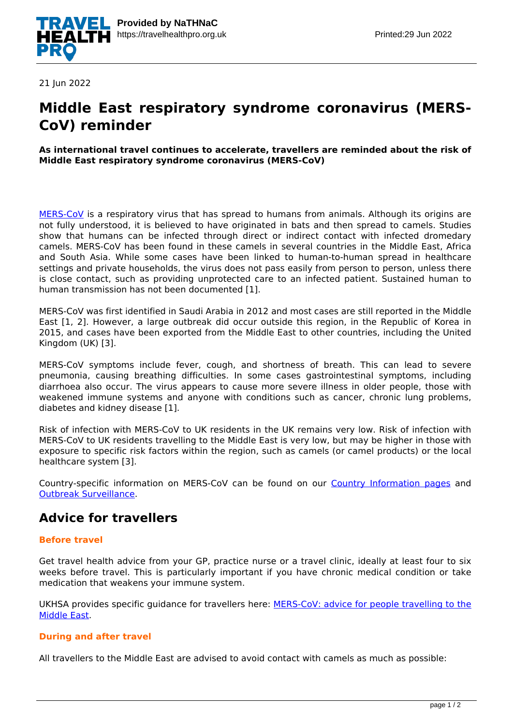

21 Jun 2022

# **Middle East respiratory syndrome coronavirus (MERS-CoV) reminder**

#### **As international travel continues to accelerate, travellers are reminded about the risk of Middle East respiratory syndrome coronavirus (MERS-CoV)**

[MERS-CoV](https://travelhealthpro.org.uk/disease/124/middle-east-respiratory-syndrome-coronavirus) is a respiratory virus that has spread to humans from animals. Although its origins are not fully understood, it is believed to have originated in bats and then spread to camels. Studies show that humans can be infected through direct or indirect contact with infected dromedary camels. MERS-CoV has been found in these camels in several countries in the Middle East, Africa and South Asia. While some cases have been linked to human-to-human spread in healthcare settings and private households, the virus does not pass easily from person to person, unless there is close contact, such as providing unprotected care to an infected patient. Sustained human to human transmission has not been documented [1].

MERS-CoV was first identified in Saudi Arabia in 2012 and most cases are still reported in the Middle East [1, 2]. However, a large outbreak did occur outside this region, in the Republic of Korea in 2015, and cases have been exported from the Middle East to other countries, including the United Kingdom (UK) [3].

MERS-CoV symptoms include fever, cough, and shortness of breath. This can lead to severe pneumonia, causing breathing difficulties. In some cases gastrointestinal symptoms, including diarrhoea also occur. The virus appears to cause more severe illness in older people, those with weakened immune systems and anyone with conditions such as cancer, chronic lung problems, diabetes and kidney disease [1].

Risk of infection with MERS-CoV to UK residents in the UK remains very low. Risk of infection with MERS-CoV to UK residents travelling to the Middle East is very low, but may be higher in those with exposure to specific risk factors within the region, such as camels (or camel products) or the local healthcare system [3].

Country-specific information on MERS-CoV can be found on our [Country Information pages](https://travelhealthpro.org.uk/countries) and [Outbreak Surveillance.](http://travelhealthpro.org.uk/outbreak-surveillance/)

### **Advice for travellers**

#### **Before travel**

Get travel health advice from your GP, practice nurse or a travel clinic, ideally at least four to six weeks before travel. This is particularly important if you have chronic medical condition or take medication that weakens your immune system.

UKHSA provides specific guidance for travellers here: [MERS-CoV: advice for people travelling to the](https://assets.publishing.service.gov.uk/government/uploads/system/uploads/attachment_data/file/576369/MERS_Cov_advice_sheet_travel_to_middle_east.pdf) [Middle East](https://assets.publishing.service.gov.uk/government/uploads/system/uploads/attachment_data/file/576369/MERS_Cov_advice_sheet_travel_to_middle_east.pdf).

#### **During and after travel**

All travellers to the Middle East are advised to avoid contact with camels as much as possible: